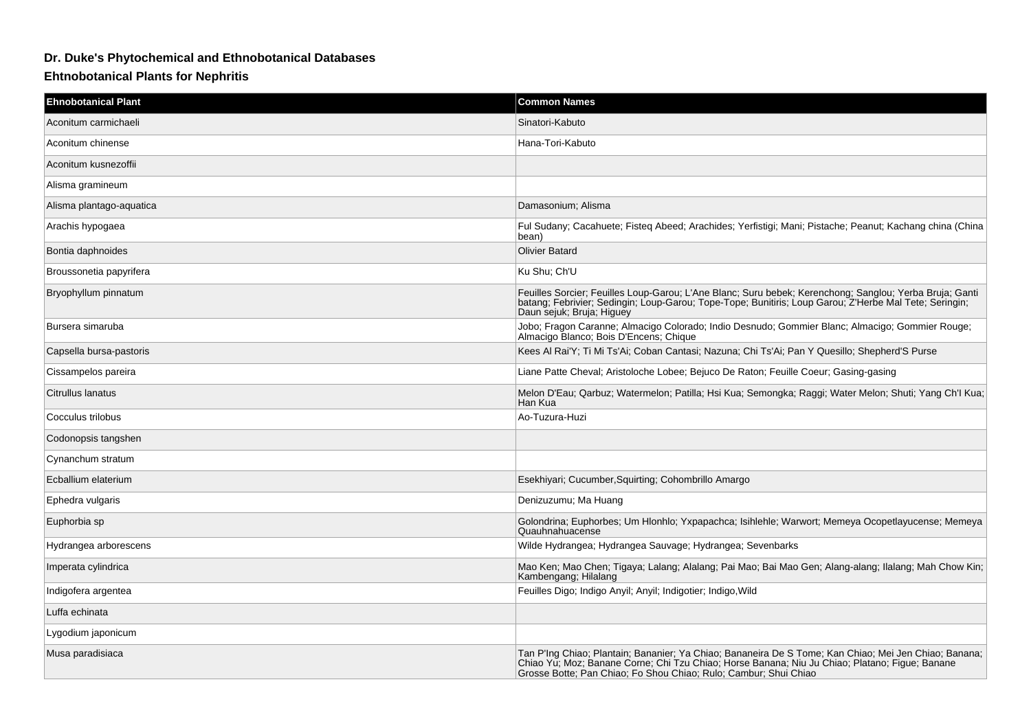## **Dr. Duke's Phytochemical and Ethnobotanical Databases**

## **Ehtnobotanical Plants for Nephritis**

| <b>Ehnobotanical Plant</b> | <b>Common Names</b>                                                                                                                                                                                                                                                         |
|----------------------------|-----------------------------------------------------------------------------------------------------------------------------------------------------------------------------------------------------------------------------------------------------------------------------|
| Aconitum carmichaeli       | Sinatori-Kabuto                                                                                                                                                                                                                                                             |
| Aconitum chinense          | Hana-Tori-Kabuto                                                                                                                                                                                                                                                            |
| Aconitum kusnezoffii       |                                                                                                                                                                                                                                                                             |
| Alisma gramineum           |                                                                                                                                                                                                                                                                             |
| Alisma plantago-aguatica   | Damasonium: Alisma                                                                                                                                                                                                                                                          |
| Arachis hypogaea           | Ful Sudany; Cacahuete; Fisteq Abeed; Arachides; Yerfistigi; Mani; Pistache; Peanut; Kachang china (China<br>bean)                                                                                                                                                           |
| Bontia daphnoides          | <b>Olivier Batard</b>                                                                                                                                                                                                                                                       |
| Broussonetia papyrifera    | Ku Shu; Ch'U                                                                                                                                                                                                                                                                |
| Bryophyllum pinnatum       | Feuilles Sorcier; Feuilles Loup-Garou; L'Ane Blanc; Suru bebek; Kerenchong; Sanglou; Yerba Bruja; Ganti<br>batang; Febrivier; Sedingin; Loup-Garou; Tope-Tope; Bunitiris; Loup Garou; Z'Herbe Mal Tete; Seringin;<br>Daun sejuk; Bruja; Higuey                              |
| Bursera simaruba           | Jobo; Fragon Caranne; Almacigo Colorado; Indio Desnudo; Gommier Blanc; Almacigo; Gommier Rouge;<br>Almacigo Blanco; Bois D'Encens; Chique                                                                                                                                   |
| Capsella bursa-pastoris    | Kees Al Rai'Y; Ti Mi Ts'Ai; Coban Cantasi; Nazuna; Chi Ts'Ai; Pan Y Quesillo; Shepherd'S Purse                                                                                                                                                                              |
| Cissampelos pareira        | Liane Patte Cheval; Aristoloche Lobee; Bejuco De Raton; Feuille Coeur; Gasing-gasing                                                                                                                                                                                        |
| Citrullus lanatus          | Melon D'Eau; Qarbuz; Watermelon; Patilla; Hsi Kua; Semongka; Raggi; Water Melon; Shuti; Yang Ch'l Kua;<br>Han Kua                                                                                                                                                           |
| Cocculus trilobus          | Ao-Tuzura-Huzi                                                                                                                                                                                                                                                              |
| Codonopsis tangshen        |                                                                                                                                                                                                                                                                             |
| Cynanchum stratum          |                                                                                                                                                                                                                                                                             |
| Ecballium elaterium        | Esekhiyari; Cucumber, Squirting; Cohombrillo Amargo                                                                                                                                                                                                                         |
| Ephedra vulgaris           | Denizuzumu; Ma Huang                                                                                                                                                                                                                                                        |
| Euphorbia sp               | Golondrina; Euphorbes; Um Hlonhlo; Yxpapachca; Isihlehle; Warwort; Memeya Ocopetlayucense; Memeya<br>Quauhnahuacense                                                                                                                                                        |
| Hydrangea arborescens      | Wilde Hydrangea; Hydrangea Sauvage; Hydrangea; Sevenbarks                                                                                                                                                                                                                   |
| Imperata cylindrica        | Mao Ken; Mao Chen; Tigaya; Lalang; Alalang; Pai Mao; Bai Mao Gen; Alang-alang; Ilalang; Mah Chow Kin;<br>Kambengang; Hilalang                                                                                                                                               |
| Indigofera argentea        | Feuilles Digo; Indigo Anyil; Anyil; Indigotier; Indigo, Wild                                                                                                                                                                                                                |
| Luffa echinata             |                                                                                                                                                                                                                                                                             |
| Lygodium japonicum         |                                                                                                                                                                                                                                                                             |
| Musa paradisiaca           | Tan P'Ing Chiao; Plantain; Bananier; Ya Chiao; Bananeira De S Tome; Kan Chiao; Mei Jen Chiao; Banana;<br>Chiao Yu; Moz; Banane Corne; Chi Tzu Chiao; Horse Banana; Niu Ju Chiao; Platano; Figue; Banane<br>Grosse Botte; Pan Chiao; Fo Shou Chiao; Rulo; Cambur; Shui Chiao |